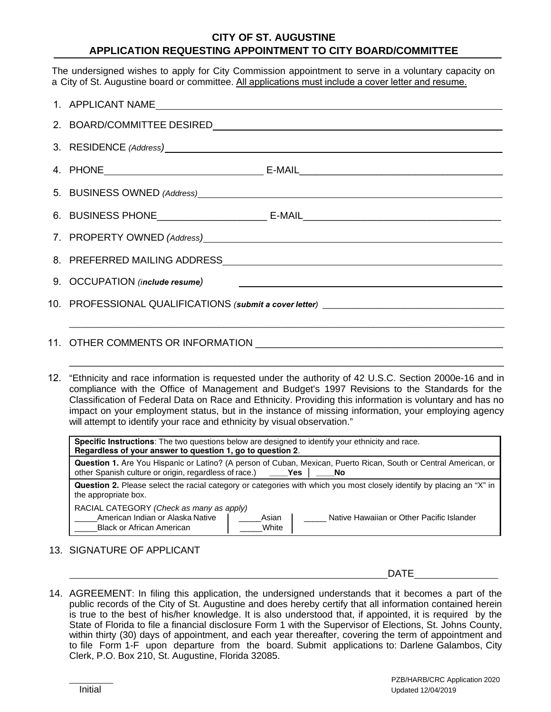## **CITY OF ST. AUGUSTINE APPLICATION REQUESTING APPOINTMENT TO CITY BOARD/COMMITTEE**

The undersigned wishes to apply for City Commission appointment to serve in a voluntary capacity on a City of St. Augustine board or committee. All applications must include a cover letter and resume.

12. "Ethnicity and race information is requested under the authority of 42 U.S.C. Section 2000e-16 and in compliance with the Office of Management and Budget's 1997 Revisions to the Standards for the Classification of Federal Data on Race and Ethnicity. Providing this information is voluntary and has no impact on your employment status, but in the instance of missing information, your employing agency will attempt to identify your race and ethnicity by visual observation."

\_\_\_\_\_\_\_\_\_\_\_\_\_\_\_\_\_\_\_\_\_\_\_\_\_\_\_\_\_\_\_\_\_\_\_\_\_\_\_\_\_\_\_\_\_\_\_\_\_\_\_\_\_\_\_\_\_\_\_\_\_\_\_\_\_\_\_\_\_\_\_\_\_\_\_\_\_\_\_

| <b>Specific Instructions:</b> The two questions below are designed to identify your ethnicity and race.<br>Regardless of your answer to question 1, go to question 2.                         |  |  |  |  |
|-----------------------------------------------------------------------------------------------------------------------------------------------------------------------------------------------|--|--|--|--|
| Question 1. Are You Hispanic or Latino? (A person of Cuban, Mexican, Puerto Rican, South or Central American, or<br>other Spanish culture or origin, regardless of race.)<br><b>Yes</b><br>No |  |  |  |  |
| Question 2. Please select the racial category or categories with which you most closely identify by placing an "X" in<br>the appropriate box.                                                 |  |  |  |  |
| RACIAL CATEGORY (Check as many as apply)<br>American Indian or Alaska Native<br>Asian<br>Native Hawaiian or Other Pacific Islander<br>White<br><b>Black or African American</b>               |  |  |  |  |

13. SIGNATURE OF APPLICANT

DATE

14. AGREEMENT: In filing this application, the undersigned understands that it becomes a part of the public records of the City of St. Augustine and does hereby certify that all information contained herein is true to the best of his/her knowledge. It is also understood that, if appointed, it is required by the State of Florida to file a financial disclosure Form 1 with the Supervisor of Elections, St. Johns County, within thirty (30) days of appointment, and each year thereafter, covering the term of appointment and to file Form 1-F upon departure from the board. Submit applications to: Darlene Galambos, City Clerk, P.O. Box 210, St. Augustine, Florida 32085.